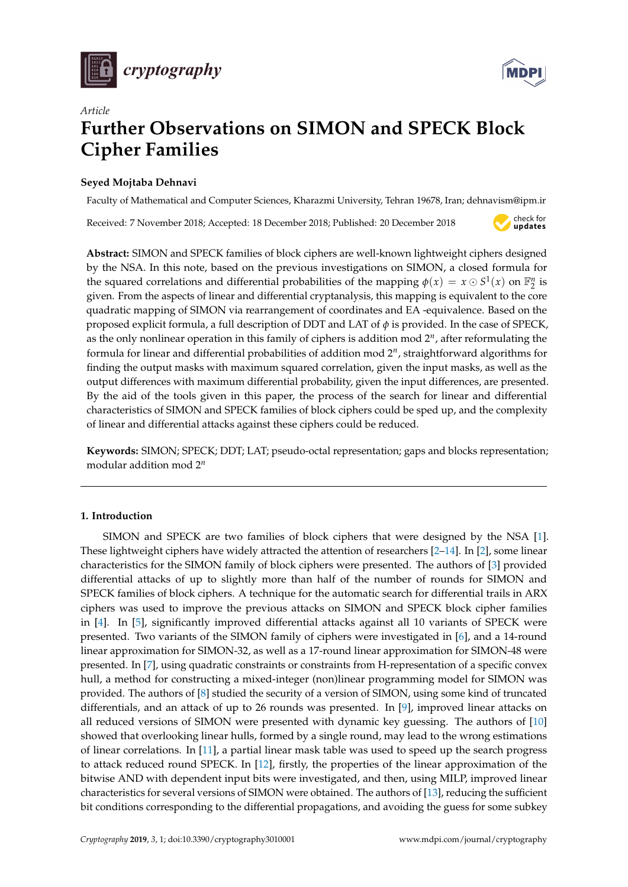



# *Article* **Further Observations on SIMON and SPECK Block Cipher Families**

## **Seyed Mojtaba Dehnavi**

Faculty of Mathematical and Computer Sciences, Kharazmi University, Tehran 19678, Iran; dehnavism@ipm.ir

Received: 7 November 2018; Accepted: 18 December 2018; Published: 20 December 2018



**Abstract:** SIMON and SPECK families of block ciphers are well-known lightweight ciphers designed by the NSA. In this note, based on the previous investigations on SIMON, a closed formula for the squared correlations and differential probabilities of the mapping  $\phi(x) = x \odot S^1(x)$  on  $\mathbb{F}_2^n$  is given. From the aspects of linear and differential cryptanalysis, this mapping is equivalent to the core quadratic mapping of SIMON via rearrangement of coordinates and EA -equivalence. Based on the proposed explicit formula, a full description of DDT and LAT of *φ* is provided. In the case of SPECK, as the only nonlinear operation in this family of ciphers is addition mod 2<sup>n</sup>, after reformulating the formula for linear and differential probabilities of addition mod 2 *n* , straightforward algorithms for finding the output masks with maximum squared correlation, given the input masks, as well as the output differences with maximum differential probability, given the input differences, are presented. By the aid of the tools given in this paper, the process of the search for linear and differential characteristics of SIMON and SPECK families of block ciphers could be sped up, and the complexity of linear and differential attacks against these ciphers could be reduced.

**Keywords:** SIMON; SPECK; DDT; LAT; pseudo-octal representation; gaps and blocks representation; modular addition mod 2*<sup>n</sup>*

## **1. Introduction**

SIMON and SPECK are two families of block ciphers that were designed by the NSA [\[1\]](#page-10-0). These lightweight ciphers have widely attracted the attention of researchers [\[2–](#page-10-1)[14\]](#page-11-0). In [\[2\]](#page-10-1), some linear characteristics for the SIMON family of block ciphers were presented. The authors of [\[3\]](#page-10-2) provided differential attacks of up to slightly more than half of the number of rounds for SIMON and SPECK families of block ciphers. A technique for the automatic search for differential trails in ARX ciphers was used to improve the previous attacks on SIMON and SPECK block cipher families in [\[4\]](#page-11-1). In [\[5\]](#page-11-2), significantly improved differential attacks against all 10 variants of SPECK were presented. Two variants of the SIMON family of ciphers were investigated in [\[6\]](#page-11-3), and a 14-round linear approximation for SIMON-32, as well as a 17-round linear approximation for SIMON-48 were presented. In [\[7\]](#page-11-4), using quadratic constraints or constraints from H-representation of a specific convex hull, a method for constructing a mixed-integer (non)linear programming model for SIMON was provided. The authors of [\[8\]](#page-11-5) studied the security of a version of SIMON, using some kind of truncated differentials, and an attack of up to 26 rounds was presented. In [\[9\]](#page-11-6), improved linear attacks on all reduced versions of SIMON were presented with dynamic key guessing. The authors of [\[10\]](#page-11-7) showed that overlooking linear hulls, formed by a single round, may lead to the wrong estimations of linear correlations. In [\[11\]](#page-11-8), a partial linear mask table was used to speed up the search progress to attack reduced round SPECK. In [\[12\]](#page-11-9), firstly, the properties of the linear approximation of the bitwise AND with dependent input bits were investigated, and then, using MILP, improved linear characteristics for several versions of SIMON were obtained. The authors of [\[13\]](#page-11-10), reducing the sufficient bit conditions corresponding to the differential propagations, and avoiding the guess for some subkey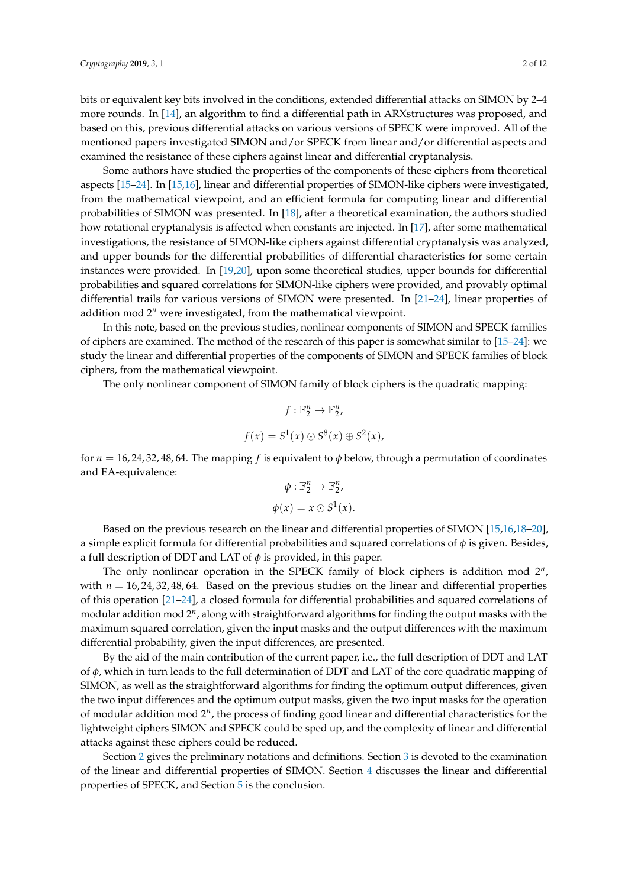bits or equivalent key bits involved in the conditions, extended differential attacks on SIMON by 2–4 more rounds. In [\[14\]](#page-11-0), an algorithm to find a differential path in ARXstructures was proposed, and based on this, previous differential attacks on various versions of SPECK were improved. All of the mentioned papers investigated SIMON and/or SPECK from linear and/or differential aspects and examined the resistance of these ciphers against linear and differential cryptanalysis.

Some authors have studied the properties of the components of these ciphers from theoretical aspects [\[15–](#page-11-11)[24\]](#page-11-12). In [\[15,](#page-11-11)[16\]](#page-11-13), linear and differential properties of SIMON-like ciphers were investigated, from the mathematical viewpoint, and an efficient formula for computing linear and differential probabilities of SIMON was presented. In [\[18\]](#page-11-14), after a theoretical examination, the authors studied how rotational cryptanalysis is affected when constants are injected. In [\[17\]](#page-11-15), after some mathematical investigations, the resistance of SIMON-like ciphers against differential cryptanalysis was analyzed, and upper bounds for the differential probabilities of differential characteristics for some certain instances were provided. In [\[19](#page-11-16)[,20\]](#page-11-17), upon some theoretical studies, upper bounds for differential probabilities and squared correlations for SIMON-like ciphers were provided, and provably optimal differential trails for various versions of SIMON were presented. In [\[21](#page-11-18)[–24\]](#page-11-12), linear properties of addition mod 2*<sup>n</sup>* were investigated, from the mathematical viewpoint.

In this note, based on the previous studies, nonlinear components of SIMON and SPECK families of ciphers are examined. The method of the research of this paper is somewhat similar to [\[15–](#page-11-11)[24\]](#page-11-12): we study the linear and differential properties of the components of SIMON and SPECK families of block ciphers, from the mathematical viewpoint.

The only nonlinear component of SIMON family of block ciphers is the quadratic mapping:

$$
f: \mathbb{F}_2^n \to \mathbb{F}_2^n,
$$
  

$$
f(x) = S^1(x) \odot S^8(x) \oplus S^2(x),
$$

for  $n = 16, 24, 32, 48, 64$ . The mapping f is equivalent to  $\phi$  below, through a permutation of coordinates and EA-equivalence:

$$
\phi: \mathbb{F}_2^n \to \mathbb{F}_2^n,
$$
  

$$
\phi(x) = x \odot S^1(x).
$$

Based on the previous research on the linear and differential properties of SIMON [\[15](#page-11-11)[,16](#page-11-13)[,18](#page-11-14)[–20\]](#page-11-17), a simple explicit formula for differential probabilities and squared correlations of *φ* is given. Besides, a full description of DDT and LAT of *φ* is provided, in this paper.

The only nonlinear operation in the SPECK family of block ciphers is addition mod 2<sup>n</sup>, with  $n = 16, 24, 32, 48, 64$ . Based on the previous studies on the linear and differential properties of this operation [\[21–](#page-11-18)[24\]](#page-11-12), a closed formula for differential probabilities and squared correlations of modular addition mod 2<sup>n</sup>, along with straightforward algorithms for finding the output masks with the maximum squared correlation, given the input masks and the output differences with the maximum differential probability, given the input differences, are presented.

By the aid of the main contribution of the current paper, i.e., the full description of DDT and LAT of *φ*, which in turn leads to the full determination of DDT and LAT of the core quadratic mapping of SIMON, as well as the straightforward algorithms for finding the optimum output differences, given the two input differences and the optimum output masks, given the two input masks for the operation of modular addition mod 2<sup>n</sup>, the process of finding good linear and differential characteristics for the lightweight ciphers SIMON and SPECK could be sped up, and the complexity of linear and differential attacks against these ciphers could be reduced.

Section [2](#page-2-0) gives the preliminary notations and definitions. Section [3](#page-3-0) is devoted to the examination of the linear and differential properties of SIMON. Section [4](#page-7-0) discusses the linear and differential properties of SPECK, and Section [5](#page-10-3) is the conclusion.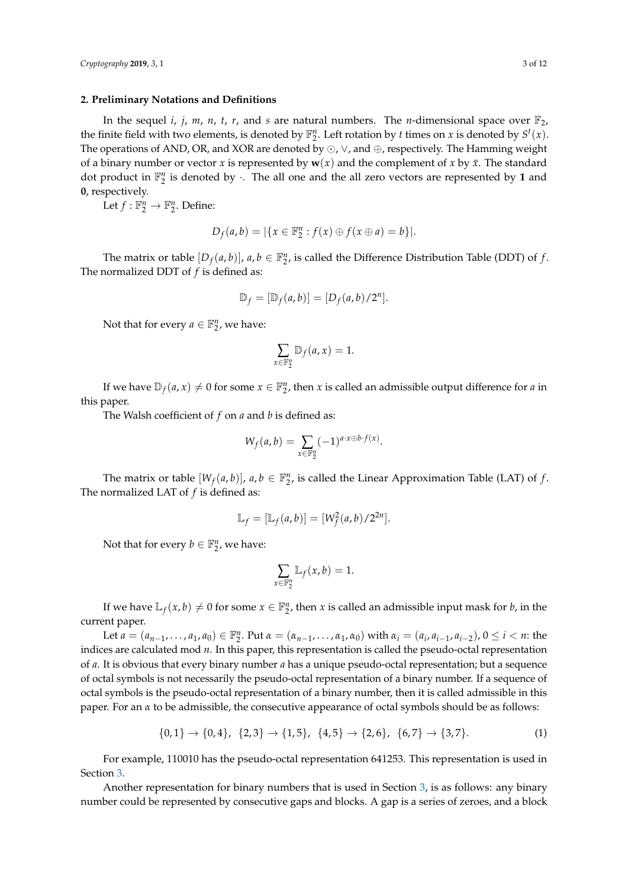### <span id="page-2-0"></span>**2. Preliminary Notations and Definitions**

In the sequel *i*, *j*, *m*, *n*, *t*, *r*, and *s* are natural numbers. The *n*-dimensional space over  $\mathbb{F}_2$ , the finite field with two elements, is denoted by  $\mathbb{F}_2^n$ . Left rotation by *t* times on *x* is denoted by  $S^t(x)$ . The operations of AND, OR, and XOR are denoted by  $\odot$ ,  $\vee$ , and  $\oplus$ , respectively. The Hamming weight of a binary number or vector *x* is represented by  $w(x)$  and the complement of *x* by *x*<sup> $\bar{x}$ . The standard</sup> dot product in  $\mathbb{F}_2^n$  is denoted by  $\cdot$ . The all one and the all zero vectors are represented by **1** and **0**, respectively.

Let  $f : \mathbb{F}_2^n \to \mathbb{F}_2^n$ . Define:

$$
D_f(a,b) = |\{x \in \mathbb{F}_2^n : f(x) \oplus f(x \oplus a) = b\}|.
$$

The matrix or table  $[D_f(a, b)]$ ,  $a, b \in \mathbb{F}_2^n$ , is called the Difference Distribution Table (DDT) of  $f$ . The normalized DDT of *f* is defined as:

$$
\mathbb{D}_f = [\mathbb{D}_f(a,b)] = [D_f(a,b)/2^n].
$$

Not that for every  $a \in \mathbb{F}_2^n$ , we have:

$$
\sum_{x\in\mathbb{F}_2^n}\mathbb{D}_f(a,x)=1.
$$

If we have  $\mathbb{D}_f(a, x) \neq 0$  for some  $x \in \mathbb{F}_2^n$ , then *x* is called an admissible output difference for *a* in this paper.

The Walsh coefficient of *f* on *a* and *b* is defined as:

$$
W_f(a,b) = \sum_{x \in \mathbb{F}_2^n} (-1)^{a \cdot x \oplus b \cdot f(x)}.
$$

The matrix or table  $[W_f(a, b)]$ ,  $a, b \in \mathbb{F}_2^n$ , is called the Linear Approximation Table (LAT) of  $f$ . The normalized LAT of *f* is defined as:

$$
\mathbb{L}_f = [\mathbb{L}_f(a, b)] = [W_f^2(a, b)/2^{2n}].
$$

Not that for every  $b \in \mathbb{F}_2^n$ , we have:

$$
\sum_{x\in\mathbb{F}_2^n}\mathbb{L}_f(x,b)=1.
$$

If we have  $\mathbb{L}_f(x, b) \neq 0$  for some  $x \in \mathbb{F}_2^n$ , then *x* is called an admissible input mask for *b*, in the current paper.

Let  $a = (a_{n-1},...,a_1,a_0) \in \mathbb{F}_2^n$ . Put  $\alpha = (\alpha_{n-1},..., \alpha_1, \alpha_0)$  with  $\alpha_i = (a_i, a_{i-1}, a_{i-2}), 0 \le i < n$ : the indices are calculated mod *n*. In this paper, this representation is called the pseudo-octal representation of *a*. It is obvious that every binary number *a* has a unique pseudo-octal representation; but a sequence of octal symbols is not necessarily the pseudo-octal representation of a binary number. If a sequence of octal symbols is the pseudo-octal representation of a binary number, then it is called admissible in this paper. For an  $\alpha$  to be admissible, the consecutive appearance of octal symbols should be as follows:

<span id="page-2-1"></span>
$$
\{0,1\} \to \{0,4\}, \ \{2,3\} \to \{1,5\}, \ \{4,5\} \to \{2,6\}, \ \{6,7\} \to \{3,7\}. \tag{1}
$$

For example, 110010 has the pseudo-octal representation 641253. This representation is used in Section [3.](#page-3-0)

Another representation for binary numbers that is used in Section [3,](#page-3-0) is as follows: any binary number could be represented by consecutive gaps and blocks. A gap is a series of zeroes, and a block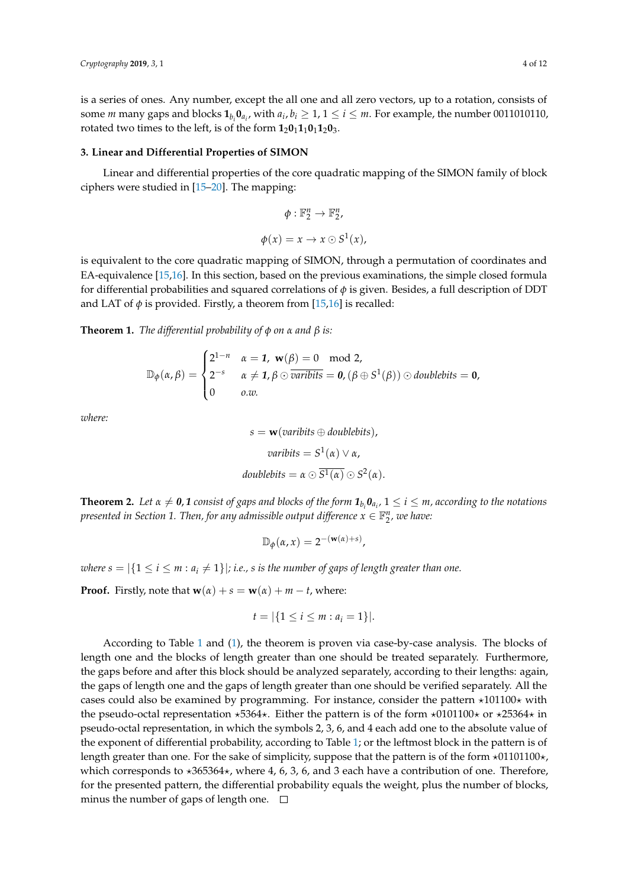is a series of ones. Any number, except the all one and all zero vectors, up to a rotation, consists of some *m* many gaps and blocks  $\mathbf{1}_{b_i}\mathbf{0}_{a_i}$ , with  $a_i$ ,  $b_i \geq 1$ ,  $1 \leq i \leq m$ . For example, the number 0011010110, rotated two times to the left, is of the form  $\mathbf{1}_2 \mathbf{0}_1 \mathbf{1}_1 \mathbf{0}_1 \mathbf{1}_2 \mathbf{0}_3$ .

#### <span id="page-3-0"></span>**3. Linear and Differential Properties of SIMON**

Linear and differential properties of the core quadratic mapping of the SIMON family of block ciphers were studied in [\[15](#page-11-11)[–20\]](#page-11-17). The mapping:

$$
\phi: \mathbb{F}_2^n \to \mathbb{F}_2^n,
$$
  

$$
\phi(x) = x \to x \odot S^1(x),
$$

is equivalent to the core quadratic mapping of SIMON, through a permutation of coordinates and EA-equivalence [\[15,](#page-11-11)[16\]](#page-11-13). In this section, based on the previous examinations, the simple closed formula for differential probabilities and squared correlations of  $\phi$  is given. Besides, a full description of DDT and LAT of  $\phi$  is provided. Firstly, a theorem from [\[15,](#page-11-11)[16\]](#page-11-13) is recalled:

**Theorem 1.** *The differential probability of φ on α and β is:*

$$
\mathbb{D}_{\phi}(\alpha,\beta) = \begin{cases} 2^{1-n} & \alpha = 1, \ \mathbf{w}(\beta) = 0 \mod 2, \\ 2^{-s} & \alpha \neq 1, \beta \odot \overline{\text{variables}} = \mathbf{0}, (\beta \oplus S^1(\beta)) \odot \text{doublebits} = \mathbf{0}, \\ 0 & o.w. \end{cases}
$$

*where:*

$$
s = \mathbf{w}(variables \oplus doublebits),
$$
  
*variables* =  $S^1(\alpha) \vee \alpha$ ,  
*doublebits* =  $\alpha \odot \overline{S^1(\alpha)} \odot S^2(\alpha)$ .

<span id="page-3-1"></span> $\bf{Theorem~2.}$  Let  $\alpha \neq \bf{0}$ ,  $\bf{1}$  consist of gaps and blocks of the form  $\bf{1}_{b_i}\bf{0}_{a_i},\bf{1}\leq i\leq m$ , according to the notations presented in Section 1. Then, for any admissible output difference  $x\in \mathbb{F}_2^n$ , we have:

$$
\mathbb{D}_{\phi}(\alpha, x) = 2^{-(\mathbf{w}(\alpha)+s)},
$$

*where s* =  $|\{1 \le i \le m : a_i \ne 1\}|$ ; *i.e.*, *s is the number of gaps of length greater than one.* 

**Proof.** Firstly, note that  $\mathbf{w}(\alpha) + s = \mathbf{w}(\alpha) + m - t$ , where:

$$
t = |\{1 \le i \le m : a_i = 1\}|.
$$

According to Table [1](#page-4-0) and [\(1\)](#page-2-1), the theorem is proven via case-by-case analysis. The blocks of length one and the blocks of length greater than one should be treated separately. Furthermore, the gaps before and after this block should be analyzed separately, according to their lengths: again, the gaps of length one and the gaps of length greater than one should be verified separately. All the cases could also be examined by programming. For instance, consider the pattern  $\star 101100\star$  with the pseudo-octal representation  $\star$ 5364 $\star$ . Either the pattern is of the form  $\star$ 0101100 $\star$  or  $\star$ 25364 $\star$  in pseudo-octal representation, in which the symbols 2, 3, 6, and 4 each add one to the absolute value of the exponent of differential probability, according to Table [1;](#page-4-0) or the leftmost block in the pattern is of length greater than one. For the sake of simplicity, suppose that the pattern is of the form  $\star$ 01101100 $\star$ , which corresponds to  $\star$ 365364 $\star$ , where 4, 6, 3, 6, and 3 each have a contribution of one. Therefore, for the presented pattern, the differential probability equals the weight, plus the number of blocks, minus the number of gaps of length one.  $\Box$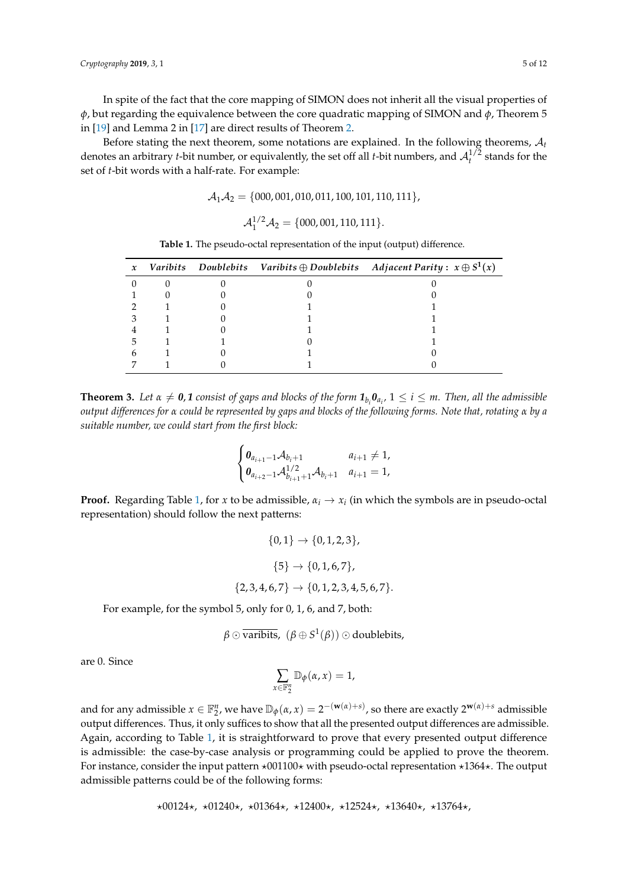In spite of the fact that the core mapping of SIMON does not inherit all the visual properties of *φ*, but regarding the equivalence between the core quadratic mapping of SIMON and *φ*, Theorem 5 in [\[19\]](#page-11-16) and Lemma 2 in [\[17\]](#page-11-15) are direct results of Theorem [2.](#page-3-1)

Before stating the next theorem, some notations are explained. In the following theorems, A*<sup>t</sup>* denotes an arbitrary *t*-bit number, or equivalently, the set off all *t*-bit numbers, and  $A_t^{1/2}$  stands for the set of *t*-bit words with a half-rate. For example:

$$
A_1A_2 = \{000, 001, 010, 011, 100, 101, 110, 111\},\
$$

$$
\mathcal{A}_1^{1/2} \mathcal{A}_2 = \{000, 001, 110, 111\}.
$$

<span id="page-4-0"></span>

|  |  | x Varibits Doublebits Varibits $\oplus$ Doublebits Adjacent Parity: $x \oplus S^1(x)$ |
|--|--|---------------------------------------------------------------------------------------|
|  |  |                                                                                       |
|  |  |                                                                                       |
|  |  |                                                                                       |
|  |  |                                                                                       |
|  |  |                                                                                       |
|  |  |                                                                                       |
|  |  |                                                                                       |
|  |  |                                                                                       |

**Table 1.** The pseudo-octal representation of the input (output) difference.

<span id="page-4-1"></span>**Theorem 3.** Let  $\alpha \neq 0$ ,1 consist of gaps and blocks of the form  $1_{b_i}0_{a_i}$ ,  $1 \leq i \leq m$ . Then, all the admissible *output differences for α could be represented by gaps and blocks of the following forms. Note that, rotating α by a suitable number, we could start from the first block:*

$$
\begin{cases} \n\mathbf{0}_{a_{i+1}-1} \mathcal{A}_{b_i+1} & a_{i+1} \neq 1, \\ \n\mathbf{0}_{a_{i+2}-1} \mathcal{A}_{b_{i+1}+1}^{1/2} \mathcal{A}_{b_i+1} & a_{i+1} = 1, \n\end{cases}
$$

**Proof.** Regarding Table [1,](#page-4-0) for *x* to be admissible,  $\alpha_i \to \alpha_i$  (in which the symbols are in pseudo-octal representation) should follow the next patterns:

$$
\{0,1\} \rightarrow \{0,1,2,3\},
$$

$$
\{5\} \rightarrow \{0,1,6,7\},
$$

$$
\{2,3,4,6,7\} \rightarrow \{0,1,2,3,4,5,6,7\}.
$$

For example, for the symbol 5, only for 0, 1, 6, and 7, both:

$$
\beta \odot \overline{\text{variables}}, \ (\beta \oplus S^1(\beta)) \odot \text{doublebits},
$$

are 0. Since

$$
\sum_{x\in\mathbb{F}_2^n}\mathbb{D}_\phi(\alpha,x)=1,
$$

and for any admissible  $x \in \mathbb{F}_2^n$ , we have  $\mathbb{D}_{\phi}(\alpha, x) = 2^{-(\mathbf{w}(\alpha)+s)}$ , so there are exactly  $2^{\mathbf{w}(\alpha)+s}$  admissible output differences. Thus, it only suffices to show that all the presented output differences are admissible. Again, according to Table [1,](#page-4-0) it is straightforward to prove that every presented output difference is admissible: the case-by-case analysis or programming could be applied to prove the theorem. For instance, consider the input pattern  $\star 001100\star$  with pseudo-octal representation  $\star 1364\star$ . The output admissible patterns could be of the following forms:

$$
\star 00124\star, \ \star 01240\star, \ \star 01364\star, \ \star 12400\star, \ \star 12524\star, \ \star 13640\star, \ \star 13764\star,
$$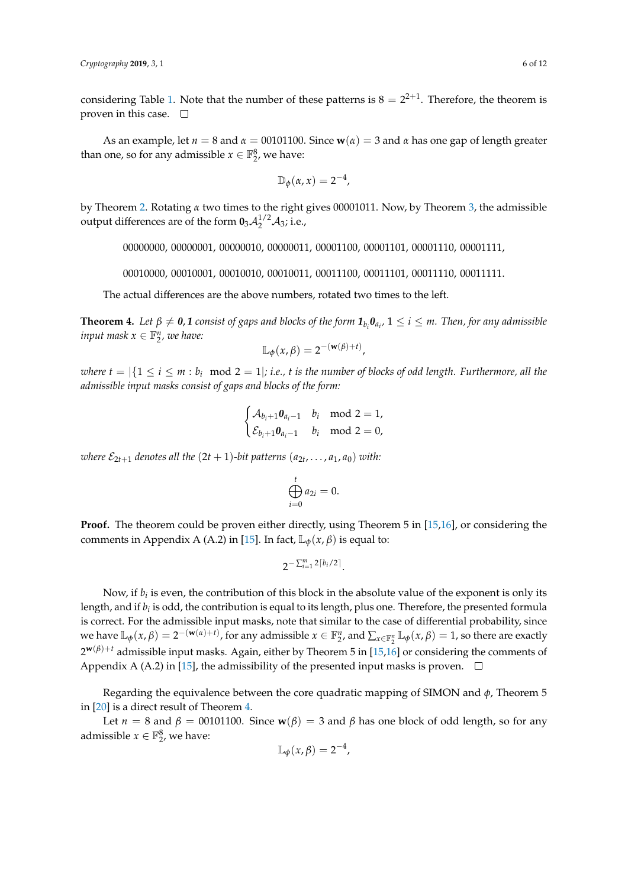considering Table [1.](#page-4-0) Note that the number of these patterns is  $8 = 2^{2+1}$ . Therefore, the theorem is proven in this case.  $\square$ 

As an example, let  $n = 8$  and  $\alpha = 00101100$ . Since  $\mathbf{w}(\alpha) = 3$  and  $\alpha$  has one gap of length greater than one, so for any admissible  $x \in \mathbb{F}_2^8$ , we have:

$$
\mathbb{D}_{\phi}(\alpha, x) = 2^{-4},
$$

by Theorem [2.](#page-3-1) Rotating *α* two times to the right gives 00001011. Now, by Theorem [3,](#page-4-1) the admissible output differences are of the form  $\mathbf{0}_3 \mathcal{A}_2^{1/2} \mathcal{A}_3$ ; i.e.,

00000000, 00000001, 00000010, 00000011, 00001100, 00001101, 00001110, 00001111,

00010000, 00010001, 00010010, 00010011, 00011100, 00011101, 00011110, 00011111.

The actual differences are the above numbers, rotated two times to the left.

<span id="page-5-0"></span> $\bf{Theorem~4.}$  Let  $\beta \neq 0$ ,  $\bf{1}$  consist of gaps and blocks of the form  $\bf{1}_{b_i}\bf{0}_{a_i}$ ,  $1 \leq i \leq m$ . Then, for any admissible  $input$  mask  $x \in \mathbb{F}_2^n$ , we have:

$$
\mathbb{L}_{\phi}(x,\beta) = 2^{-(\mathbf{w}(\beta)+t)}
$$

,

*where*  $t = |\{1 \le i \le m : b_i \mod 2 = 1|\}$ ; *i.e.*, *t* is the number of blocks of odd length. Furthermore, all the *admissible input masks consist of gaps and blocks of the form:*

$$
\begin{cases}\n\mathcal{A}_{b_i+1}\mathbf{0}_{a_i-1} & b_i \mod 2 = 1, \\
\mathcal{E}_{b_i+1}\mathbf{0}_{a_i-1} & b_i \mod 2 = 0,\n\end{cases}
$$

*where*  $\mathcal{E}_{2t+1}$  denotes all the  $(2t+1)$ -bit patterns  $(a_{2t},...,a_1,a_0)$  with:

$$
\bigoplus_{i=0}^t a_{2i}=0.
$$

**Proof.** The theorem could be proven either directly, using Theorem 5 in [\[15,](#page-11-11)[16\]](#page-11-13), or considering the comments in Appendix A (A.2) in [\[15\]](#page-11-11). In fact,  $\mathbb{L}_{\phi}(x,\beta)$  is equal to:

$$
2^{-\sum_{i=1}^m 2\lceil b_i/2\rceil}.
$$

Now, if  $b_i$  is even, the contribution of this block in the absolute value of the exponent is only its length, and if *b<sup>i</sup>* is odd, the contribution is equal to its length, plus one. Therefore, the presented formula is correct. For the admissible input masks, note that similar to the case of differential probability, since we have  $\mathbb{L}_{\phi}(x,\beta) = 2^{-(\mathbf{w}(\alpha)+t)}$ , for any admissible  $x \in \mathbb{F}_2^n$ , and  $\sum_{x \in \mathbb{F}_2^n} \mathbb{L}_{\phi}(x,\beta) = 1$ , so there are exactly 2 **<sup>w</sup>**(*β*)+*<sup>t</sup>* admissible input masks. Again, either by Theorem 5 in [\[15,](#page-11-11)[16\]](#page-11-13) or considering the comments of Appendix A (A.2) in [\[15\]](#page-11-11), the admissibility of the presented input masks is proven.  $\Box$ 

Regarding the equivalence between the core quadratic mapping of SIMON and *φ*, Theorem 5 in [\[20\]](#page-11-17) is a direct result of Theorem [4.](#page-5-0)

Let  $n = 8$  and  $\beta = 00101100$ . Since  $\mathbf{w}(\beta) = 3$  and  $\beta$  has one block of odd length, so for any admissible  $x \in \mathbb{F}_2^8$ , we have:

$$
\mathbb{L}_{\phi}(x,\beta) = 2^{-4},
$$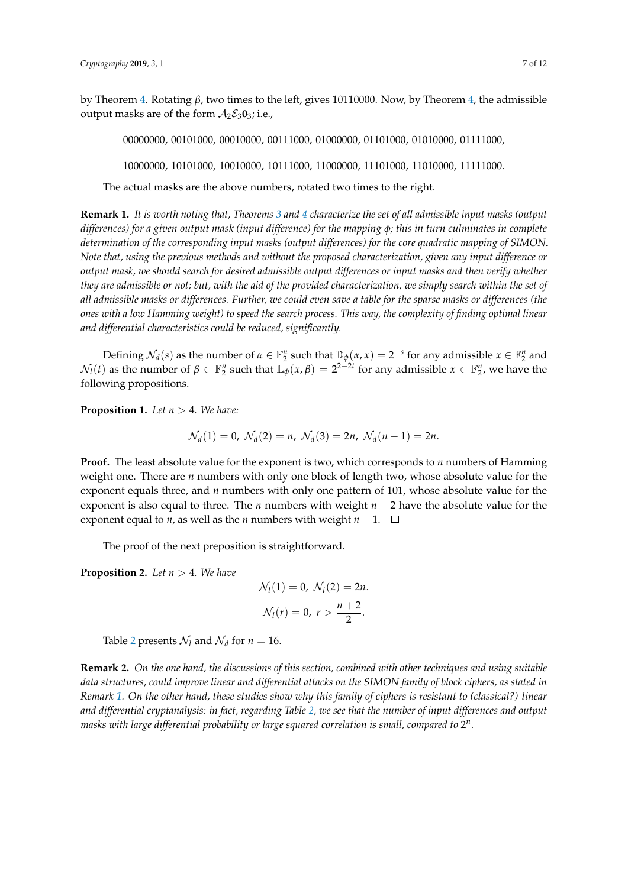by Theorem [4.](#page-5-0) Rotating *β*, two times to the left, gives 10110000. Now, by Theorem [4,](#page-5-0) the admissible output masks are of the form  $A_2E_3\mathbf{0}_3$ ; i.e.,

00000000, 00101000, 00010000, 00111000, 01000000, 01101000, 01010000, 01111000,

10000000, 10101000, 10010000, 10111000, 11000000, 11101000, 11010000, 11111000.

The actual masks are the above numbers, rotated two times to the right.

<span id="page-6-0"></span>**Remark 1.** *It is worth noting that, Theorems [3](#page-4-1) and [4](#page-5-0) characterize the set of all admissible input masks (output differences) for a given output mask (input difference) for the mapping φ; this in turn culminates in complete determination of the corresponding input masks (output differences) for the core quadratic mapping of SIMON. Note that, using the previous methods and without the proposed characterization, given any input difference or output mask, we should search for desired admissible output differences or input masks and then verify whether they are admissible or not; but, with the aid of the provided characterization, we simply search within the set of all admissible masks or differences. Further, we could even save a table for the sparse masks or differences (the ones with a low Hamming weight) to speed the search process. This way, the complexity of finding optimal linear and differential characteristics could be reduced, significantly.*

Defining  $\mathcal{N}_d(s)$  as the number of  $\alpha \in \mathbb{F}_2^n$  such that  $\mathbb{D}_{\phi}(\alpha, x) = 2^{-s}$  for any admissible  $x \in \mathbb{F}_2^n$  and  $\mathcal{N}_l(t)$  as the number of  $\beta \in \mathbb{F}_2^n$  such that  $\mathbb{L}_{\phi}(x,\beta) = 2^{2-2t}$  for any admissible  $x \in \mathbb{F}_2^n$ , we have the following propositions.

**Proposition 1.** *Let*  $n > 4$ *. We have:* 

$$
\mathcal{N}_d(1) = 0, \ \mathcal{N}_d(2) = n, \ \mathcal{N}_d(3) = 2n, \ \mathcal{N}_d(n-1) = 2n.
$$

**Proof.** The least absolute value for the exponent is two, which corresponds to *n* numbers of Hamming weight one. There are *n* numbers with only one block of length two, whose absolute value for the exponent equals three, and *n* numbers with only one pattern of 101, whose absolute value for the exponent is also equal to three. The *n* numbers with weight *n* − 2 have the absolute value for the exponent equal to *n*, as well as the *n* numbers with weight  $n - 1$ .  $\Box$ 

The proof of the next preposition is straightforward.

**Proposition 2.** Let  $n > 4$ . We have

$$
\mathcal{N}_l(1) = 0, \ \mathcal{N}_l(2) = 2n.
$$
  
 $\mathcal{N}_l(r) = 0, \ r > \frac{n+2}{2}.$ 

Table [2](#page-7-1) presents  $\mathcal{N}_l$  and  $\mathcal{N}_d$  for  $n = 16$ .

**Remark 2.** *On the one hand, the discussions of this section, combined with other techniques and using suitable data structures, could improve linear and differential attacks on the SIMON family of block ciphers, as stated in Remark [1.](#page-6-0) On the other hand, these studies show why this family of ciphers is resistant to (classical?) linear and differential cryptanalysis: in fact, regarding Table [2,](#page-7-1) we see that the number of input differences and output* masks with large differential probability or large squared correlation is small, compared to 2<sup>n</sup>.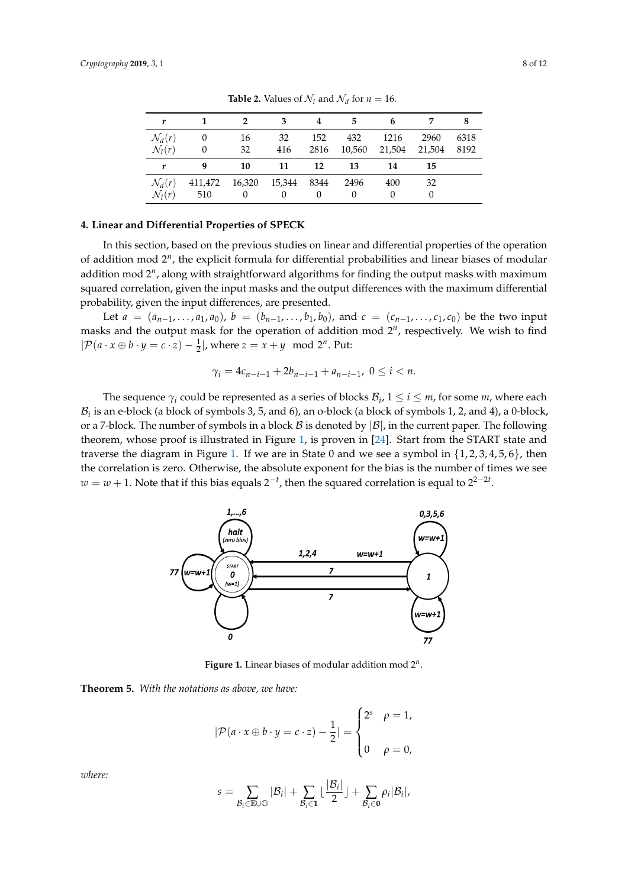<span id="page-7-1"></span>

| r                  |         | 2        | 3      | 4        | 5      | 6      |        | 8    |
|--------------------|---------|----------|--------|----------|--------|--------|--------|------|
|                    |         |          |        |          |        |        |        |      |
| $\mathcal{N}_d(r)$ | 0       | 16       | 32     | 152      | 432    | 1216   | 2960   | 6318 |
| $\mathcal{N}_1(r)$ | 0       | 32       | 416    | 2816     | 10,560 | 21,504 | 21,504 | 8192 |
| r                  | q       | 10       | 11     | 12       | 13     | 14     | 15     |      |
| $\mathcal{N}_d(r)$ | 411,472 | 16,320   | 15,344 | 8344     | 2496   | 400    | 32     |      |
| $\mathcal{N}_I(r)$ | 510     | $\Omega$ | 0      | $\Omega$ | 0      | 0      | 0      |      |

**Table 2.** Values of  $\mathcal{N}_l$  and  $\mathcal{N}_d$  for  $n = 16$ .

## <span id="page-7-0"></span>**4. Linear and Differential Properties of SPECK**

In this section, based on the previous studies on linear and differential properties of the operation of addition mod 2<sup>n</sup>, the explicit formula for differential probabilities and linear biases of modular addition mod 2<sup>n</sup>, along with straightforward algorithms for finding the output masks with maximum squared correlation, given the input masks and the output differences with the maximum differential probability, given the input differences, are presented.

Let  $a = (a_{n-1}, \ldots, a_1, a_0)$ ,  $b = (b_{n-1}, \ldots, b_1, b_0)$ , and  $c = (c_{n-1}, \ldots, c_1, c_0)$  be the two input masks and the output mask for the operation of addition mod 2 *n* , respectively. We wish to find  $|\mathcal{P}(a \cdot x \oplus b \cdot y = c \cdot z) - \frac{1}{2}|$ , where  $z = x + y \mod 2^n$ . Put:

$$
\gamma_i = 4c_{n-i-1} + 2b_{n-i-1} + a_{n-i-1}, \ 0 \le i < n.
$$

The sequence  $\gamma_i$  could be represented as a series of blocks  $\mathcal{B}_i$ ,  $1 \leq i \leq m$ , for some  $m$ , where each  $B_i$  is an e-block (a block of symbols 3, 5, and 6), an o-block (a block of symbols 1, 2, and 4), a 0-block, or a 7-block. The number of symbols in a block  $\beta$  is denoted by  $|\beta|$ , in the current paper. The following theorem, whose proof is illustrated in Figure [1,](#page-7-2) is proven in [\[24\]](#page-11-12). Start from the START state and traverse the diagram in Figure [1.](#page-7-2) If we are in State 0 and we see a symbol in  $\{1, 2, 3, 4, 5, 6\}$ , then the correlation is zero. Otherwise, the absolute exponent for the bias is the number of times we see *w* = *w* + 1. Note that if this bias equals 2<sup>−*t*</sup>, then the squared correlation is equal to 2<sup>2−2*t*</sup>.

<span id="page-7-2"></span>

**Figure 1.** Linear biases of modular addition mod 2*<sup>n</sup>* .

<span id="page-7-3"></span>**Theorem 5.** *With the notations as above, we have:*

$$
|\mathcal{P}(a \cdot x \oplus b \cdot y = c \cdot z) - \frac{1}{2}| = \begin{cases} 2^s & \rho = 1, \\ 0 & \rho = 0, \end{cases}
$$

*where:*

$$
s = \sum_{\mathcal{B}_i \in \mathbb{E} \cup \mathbb{O}} |\mathcal{B}_i| + \sum_{\mathcal{B}_i \in \mathbf{1}} \lfloor \frac{|\mathcal{B}_i|}{2} \rfloor + \sum_{\mathcal{B}_i \in \mathbf{0}} \rho_i |\mathcal{B}_i|,
$$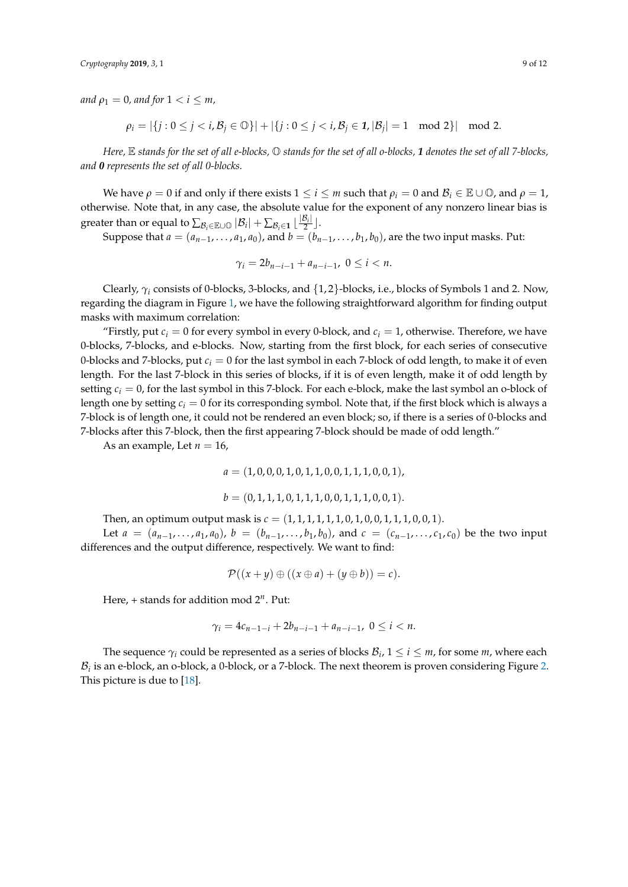*and*  $\rho_1 = 0$ *, and for*  $1 < i \leq m$ *,* 

 $\rho_i = |\{j : 0 \le j < i, \mathcal{B}_j \in \mathbb{O}\}| + |\{j : 0 \le j < i, \mathcal{B}_j \in \mathbb{1}, |\mathcal{B}_j| = 1 \mod 2\}| \mod 2.$ 

*Here,* E *stands for the set of all e-blocks,* O *stands for the set of all o-blocks, 1 denotes the set of all 7-blocks, and 0 represents the set of all 0-blocks.*

We have  $\rho = 0$  if and only if there exists  $1 \leq i \leq m$  such that  $\rho_i = 0$  and  $\mathcal{B}_i \in \mathbb{E} \cup \mathbb{O}$ , and  $\rho = 1$ , otherwise. Note that, in any case, the absolute value for the exponent of any nonzero linear bias is greater than or equal to  $\sum_{\mathcal{B}_i\in\mathbb{E}\cup\mathbb{O}}|\mathcal{B}_i|+\sum_{\mathcal{B}_i\in\mathbf{1}}\lfloor\frac{|\mathcal{B}_i|}{2}\rfloor.$ 

 $\text{Suppose that } a = (a_{n-1}, \ldots, a_1, a_0)$ , and  $b = (b_{n-1}, \ldots, b_1, b_0)$ , are the two input masks. Put:

$$
\gamma_i = 2b_{n-i-1} + a_{n-i-1}, \ 0 \le i < n.
$$

Clearly, *γ<sup>i</sup>* consists of 0-blocks, 3-blocks, and {1, 2}-blocks, i.e., blocks of Symbols 1 and 2. Now, regarding the diagram in Figure [1,](#page-7-2) we have the following straightforward algorithm for finding output masks with maximum correlation:

"Firstly, put  $c_i = 0$  for every symbol in every 0-block, and  $c_i = 1$ , otherwise. Therefore, we have 0-blocks, 7-blocks, and e-blocks. Now, starting from the first block, for each series of consecutive 0-blocks and 7-blocks, put  $c_i = 0$  for the last symbol in each 7-block of odd length, to make it of even length. For the last 7-block in this series of blocks, if it is of even length, make it of odd length by setting  $c_i = 0$ , for the last symbol in this 7-block. For each e-block, make the last symbol an o-block of length one by setting  $c_i = 0$  for its corresponding symbol. Note that, if the first block which is always a 7-block is of length one, it could not be rendered an even block; so, if there is a series of 0-blocks and 7-blocks after this 7-block, then the first appearing 7-block should be made of odd length."

As an example, Let  $n = 16$ ,

*a* = (1, 0, 0, 0, 1, 0, 1, 1, 0, 0, 1, 1, 1, 0, 0, 1),

 $b = (0, 1, 1, 1, 0, 1, 1, 1, 0, 0, 1, 1, 1, 0, 0, 1).$ 

Then, an optimum output mask is  $c = (1, 1, 1, 1, 1, 1, 0, 1, 0, 0, 1, 1, 1, 0, 0, 1)$ .

Let  $a = (a_{n-1}, \ldots, a_1, a_0)$ ,  $b = (b_{n-1}, \ldots, b_1, b_0)$ , and  $c = (c_{n-1}, \ldots, c_1, c_0)$  be the two input differences and the output difference, respectively. We want to find:

$$
\mathcal{P}((x+y)\oplus((x\oplus a)+(y\oplus b))=c).
$$

Here, + stands for addition mod 2*<sup>n</sup>* . Put:

$$
\gamma_i = 4c_{n-1-i} + 2b_{n-i-1} + a_{n-i-1}, \ 0 \le i < n.
$$

The sequence  $\gamma_i$  could be represented as a series of blocks  $\mathcal{B}_i$ ,  $1 \leq i \leq m$ , for some  $m$ , where each  $B_i$  is an e-block, an o-block, a 0-block, or a 7-block. The next theorem is proven considering Figure [2.](#page-9-0) This picture is due to [\[18\]](#page-11-14).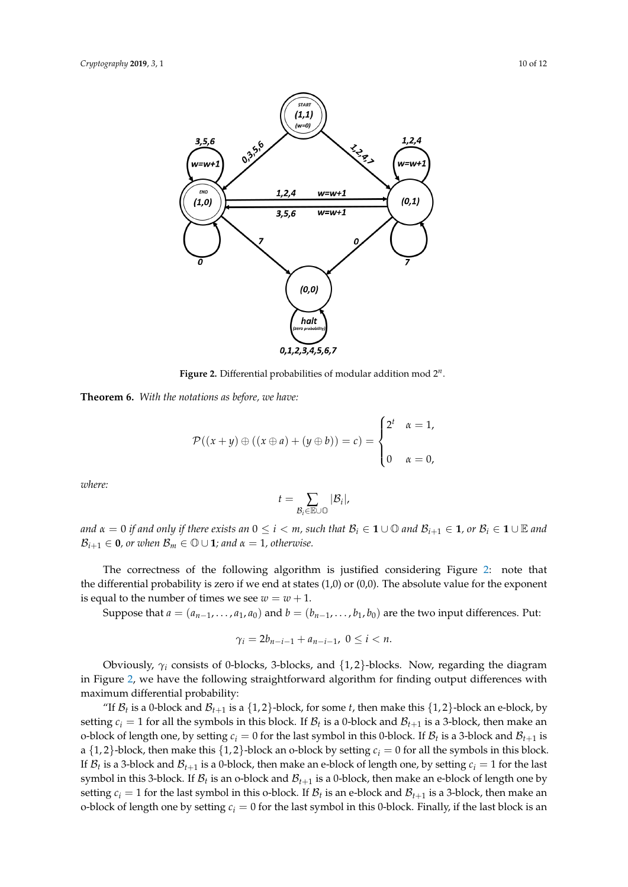<span id="page-9-0"></span>

**Figure 2.** Differential probabilities of modular addition mod 2*<sup>n</sup>* .

<span id="page-9-1"></span>**Theorem 6.** *With the notations as before, we have:*

$$
\mathcal{P}((x+y) \oplus ((x \oplus a) + (y \oplus b)) = c) = \begin{cases} 2^t & \alpha = 1, \\ 0 & \alpha = 0, \end{cases}
$$

*where:*

$$
t = \sum_{\mathcal{B}_i \in \mathbb{E} \cup \mathbb{O}} |\mathcal{B}_i|,
$$

*and*  $\alpha = 0$  *if and only if there exists an*  $0 \le i < m$ , such that  $B_i \in \mathbf{1} \cup \mathbb{O}$  and  $B_{i+1} \in \mathbf{1}$ , or  $B_i \in \mathbf{1} \cup \mathbb{E}$  and  $\mathcal{B}_{i+1} \in \mathbf{0}$ *, or when*  $\mathcal{B}_m \in \mathbb{O} \cup \mathbf{1}$ *; and*  $\alpha = 1$ *, otherwise.* 

The correctness of the following algorithm is justified considering Figure [2:](#page-9-0) note that the differential probability is zero if we end at states  $(1,0)$  or  $(0,0)$ . The absolute value for the exponent is equal to the number of times we see  $w = w + 1$ .

Suppose that  $a = (a_{n-1}, \ldots, a_1, a_0)$  and  $b = (b_{n-1}, \ldots, b_1, b_0)$  are the two input differences. Put:

$$
\gamma_i = 2b_{n-i-1} + a_{n-i-1}, \ 0 \le i < n.
$$

Obviously,  $\gamma_i$  consists of 0-blocks, 3-blocks, and  $\{1, 2\}$ -blocks. Now, regarding the diagram in Figure [2,](#page-9-0) we have the following straightforward algorithm for finding output differences with maximum differential probability:

"If  $B_t$  is a 0-block and  $B_{t+1}$  is a  $\{1, 2\}$ -block, for some *t*, then make this  $\{1, 2\}$ -block an e-block, by setting  $c_i = 1$  for all the symbols in this block. If  $B_t$  is a 0-block and  $B_{t+1}$  is a 3-block, then make an o-block of length one, by setting  $c_i = 0$  for the last symbol in this 0-block. If  $B_t$  is a 3-block and  $B_{t+1}$  is a  $\{1, 2\}$ -block, then make this  $\{1, 2\}$ -block an o-block by setting  $c_i = 0$  for all the symbols in this block. If  $B_t$  is a 3-block and  $B_{t+1}$  is a 0-block, then make an e-block of length one, by setting  $c_i = 1$  for the last symbol in this 3-block. If  $B_t$  is an o-block and  $B_{t+1}$  is a 0-block, then make an e-block of length one by setting  $c_i = 1$  for the last symbol in this o-block. If  $B_t$  is an e-block and  $B_{t+1}$  is a 3-block, then make an o-block of length one by setting  $c_i = 0$  for the last symbol in this 0-block. Finally, if the last block is an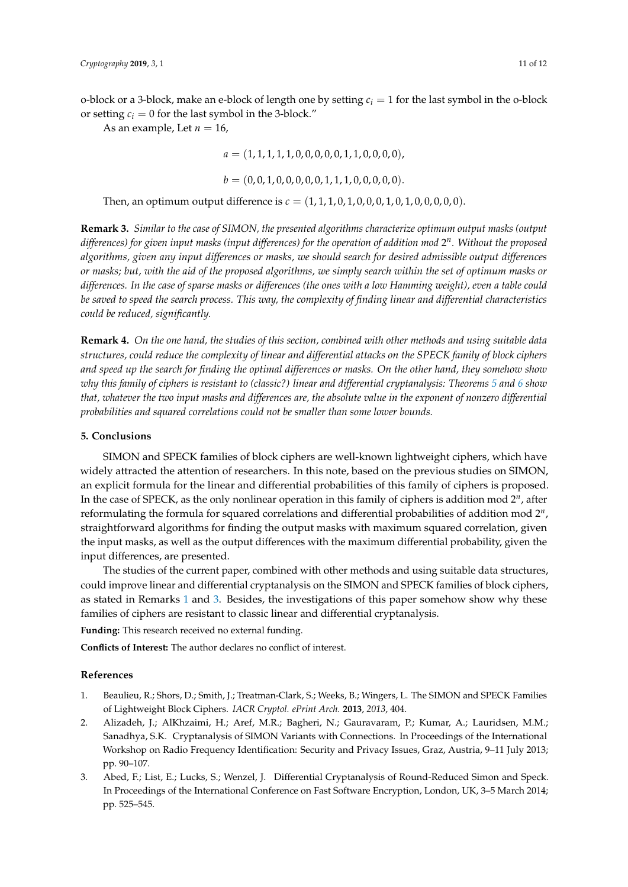o-block or a 3-block, make an e-block of length one by setting  $c_i = 1$  for the last symbol in the o-block or setting  $c_i = 0$  for the last symbol in the 3-block."

As an example, Let  $n = 16$ ,

*a* = (1, 1, 1, 1, 1, 0, 0, 0, 0, 0, 1, 1, 0, 0, 0, 0),

 $b = (0, 0, 1, 0, 0, 0, 0, 0, 1, 1, 1, 0, 0, 0, 0, 0).$ 

Then, an optimum output difference is  $c = (1, 1, 1, 0, 1, 0, 0, 0, 1, 0, 1, 0, 0, 0, 0, 0)$ .

<span id="page-10-4"></span>**Remark 3.** *Similar to the case of SIMON, the presented algorithms characterize optimum output masks (output differences) for given input masks (input differences) for the operation of addition mod* 2 *n . Without the proposed algorithms, given any input differences or masks, we should search for desired admissible output differences or masks; but, with the aid of the proposed algorithms, we simply search within the set of optimum masks or differences. In the case of sparse masks or differences (the ones with a low Hamming weight), even a table could be saved to speed the search process. This way, the complexity of finding linear and differential characteristics could be reduced, significantly.*

**Remark 4.** *On the one hand, the studies of this section, combined with other methods and using suitable data structures, could reduce the complexity of linear and differential attacks on the SPECK family of block ciphers and speed up the search for finding the optimal differences or masks. On the other hand, they somehow show why this family of ciphers is resistant to (classic?) linear and differential cryptanalysis: Theorems [5](#page-7-3) and [6](#page-9-1) show that, whatever the two input masks and differences are, the absolute value in the exponent of nonzero differential probabilities and squared correlations could not be smaller than some lower bounds.*

## <span id="page-10-3"></span>**5. Conclusions**

SIMON and SPECK families of block ciphers are well-known lightweight ciphers, which have widely attracted the attention of researchers. In this note, based on the previous studies on SIMON, an explicit formula for the linear and differential probabilities of this family of ciphers is proposed. In the case of SPECK, as the only nonlinear operation in this family of ciphers is addition mod 2<sup>n</sup>, after reformulating the formula for squared correlations and differential probabilities of addition mod 2 *n* , straightforward algorithms for finding the output masks with maximum squared correlation, given the input masks, as well as the output differences with the maximum differential probability, given the input differences, are presented.

The studies of the current paper, combined with other methods and using suitable data structures, could improve linear and differential cryptanalysis on the SIMON and SPECK families of block ciphers, as stated in Remarks [1](#page-6-0) and [3.](#page-10-4) Besides, the investigations of this paper somehow show why these families of ciphers are resistant to classic linear and differential cryptanalysis.

**Funding:** This research received no external funding.

**Conflicts of Interest:** The author declares no conflict of interest.

## **References**

- <span id="page-10-0"></span>1. Beaulieu, R.; Shors, D.; Smith, J.; Treatman-Clark, S.; Weeks, B.; Wingers, L. The SIMON and SPECK Families of Lightweight Block Ciphers. *IACR Cryptol. ePrint Arch.* **2013**, *2013*, 404.
- <span id="page-10-1"></span>2. Alizadeh, J.; AlKhzaimi, H.; Aref, M.R.; Bagheri, N.; Gauravaram, P.; Kumar, A.; Lauridsen, M.M.; Sanadhya, S.K. Cryptanalysis of SIMON Variants with Connections. In Proceedings of the International Workshop on Radio Frequency Identification: Security and Privacy Issues, Graz, Austria, 9–11 July 2013; pp. 90–107.
- <span id="page-10-2"></span>3. Abed, F.; List, E.; Lucks, S.; Wenzel, J. Differential Cryptanalysis of Round-Reduced Simon and Speck. In Proceedings of the International Conference on Fast Software Encryption, London, UK, 3–5 March 2014; pp. 525–545.